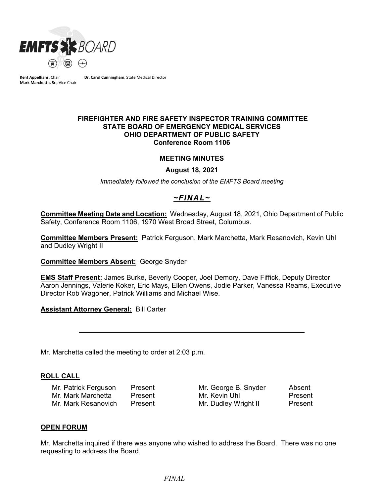

**Kent Appelhans**, Chair **Mark Marchetta, Sr.**, Vice Chair **Dr. Carol Cunningham**, State Medical Director

#### **FIREFIGHTER AND FIRE SAFETY INSPECTOR TRAINING COMMITTEE STATE BOARD OF EMERGENCY MEDICAL SERVICES OHIO DEPARTMENT OF PUBLIC SAFETY Conference Room 1106**

#### **MEETING MINUTES**

**August 18, 2021**

*Immediately followed the conclusion of the EMFTS Board meeting*

# *~FINAL~*

**Committee Meeting Date and Location:** Wednesday, August 18, 2021, Ohio Department of Public Safety, Conference Room 1106, 1970 West Broad Street, Columbus.

**Committee Members Present:** Patrick Ferguson, Mark Marchetta, Mark Resanovich, Kevin Uhl and Dudley Wright II

**Committee Members Absent:** George Snyder

**EMS Staff Present:** James Burke, Beverly Cooper, Joel Demory, Dave Fiffick, Deputy Director Aaron Jennings, Valerie Koker, Eric Mays, Ellen Owens, Jodie Parker, Vanessa Reams, Executive Director Rob Wagoner, Patrick Williams and Michael Wise.

**Assistant Attorney General:** Bill Carter

Mr. Marchetta called the meeting to order at 2:03 p.m.

#### **ROLL CALL**

Mr. Patrick Ferguson Present Mr. George B. Snyder Absent Mr. Mark Marchetta Present Mr. Kevin Uhl Present Mr. Mark Resanovich Present Mr. Dudley Wright II Present

#### **OPEN FORUM**

Mr. Marchetta inquired if there was anyone who wished to address the Board. There was no one requesting to address the Board.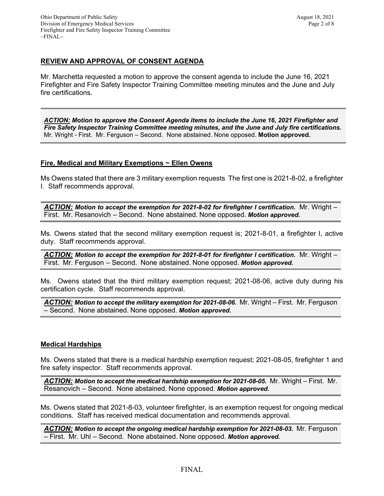# **REVIEW AND APPROVAL OF CONSENT AGENDA**

Mr. Marchetta requested a motion to approve the consent agenda to include the June 16, 2021 Firefighter and Fire Safety Inspector Training Committee meeting minutes and the June and July fire certifications.

*ACTION: Motion to approve the Consent Agenda items to include the June 16, 2021 Firefighter and Fire Safety Inspector Training Committee meeting minutes, and the June and July fire certifications.* Mr. Wright - First. Mr. Ferguson – Second. None abstained. None opposed. **Motion approved.**

# **Fire, Medical and Military Exemptions ~ Ellen Owens**

Ms Owens stated that there are 3 military exemption requests The first one is 2021-8-02, a firefighter I. Staff recommends approval.

*ACTION: Motion to accept the exemption for 2021-8-02 for firefighter I certification.* Mr. Wright – First. Mr. Resanovich – Second. None abstained. None opposed. *Motion approved.*

Ms. Owens stated that the second military exemption request is; 2021-8-01, a firefighter I, active duty. Staff recommends approval.

*ACTION: Motion to accept the exemption for 2021-8-01 for firefighter I certification.* Mr. Wright – First. Mr. Ferguson – Second. None abstained. None opposed. *Motion approved.*

Ms. Owens stated that the third military exemption request; 2021-08-06, active duty during his certification cycle. Staff recommends approval.

ACTION: Motion to accept the military exemption for 2021-08-06. Mr. Wright - First. Mr. Ferguson – Second. None abstained. None opposed. *Motion approved.*

# **Medical Hardships**

Ms. Owens stated that there is a medical hardship exemption request; 2021-08-05, firefighter 1 and fire safety inspector. Staff recommends approval.

*ACTION: Motion to accept the medical hardship exemption for 2021-08-05.* Mr. Wright – First. Mr. Resanovich – Second. None abstained. None opposed. *Motion approved.*

Ms. Owens stated that 2021-8-03, volunteer firefighter, is an exemption request for ongoing medical conditions. Staff has received medical documentation and recommends approval.

*ACTION: Motion to accept the ongoing medical hardship exemption for 2021-08-03.* Mr. Ferguson – First. Mr. Uhl – Second. None abstained. None opposed. *Motion approved.*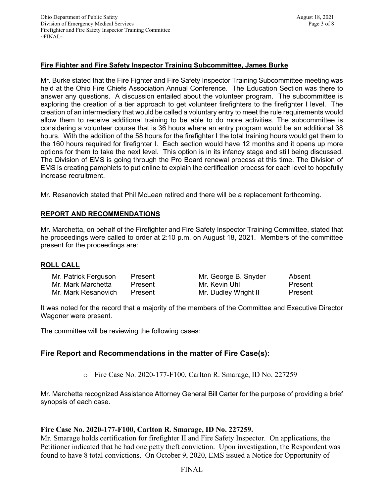## **Fire Fighter and Fire Safety Inspector Training Subcommittee, James Burke**

Mr. Burke stated that the Fire Fighter and Fire Safety Inspector Training Subcommittee meeting was held at the Ohio Fire Chiefs Association Annual Conference. The Education Section was there to answer any questions. A discussion entailed about the volunteer program. The subcommittee is exploring the creation of a tier approach to get volunteer firefighters to the firefighter I level. The creation of an intermediary that would be called a voluntary entry to meet the rule requirements would allow them to receive additional training to be able to do more activities. The subcommittee is considering a volunteer course that is 36 hours where an entry program would be an additional 38 hours. With the addition of the 58 hours for the firefighter I the total training hours would get them to the 160 hours required for firefighter I. Each section would have 12 months and it opens up more options for them to take the next level. This option is in its infancy stage and still being discussed. The Division of EMS is going through the Pro Board renewal process at this time. The Division of EMS is creating pamphlets to put online to explain the certification process for each level to hopefully increase recruitment.

Mr. Resanovich stated that Phil McLean retired and there will be a replacement forthcoming.

## **REPORT AND RECOMMENDATIONS**

Mr. Marchetta, on behalf of the Firefighter and Fire Safety Inspector Training Committee, stated that he proceedings were called to order at 2:10 p.m. on August 18, 2021. Members of the committee present for the proceedings are:

#### **ROLL CALL**

| Mr. Patrick Ferguson | Present |
|----------------------|---------|
| Mr. Mark Marchetta   | Present |
| Mr. Mark Resanovich  | Present |

Mr. George B. Snyder Absent Mr. Kevin Uhl Present Mr. Dudley Wright II Present

It was noted for the record that a majority of the members of the Committee and Executive Director Wagoner were present.

The committee will be reviewing the following cases:

# **Fire Report and Recommendations in the matter of Fire Case(s):**

o Fire Case No. 2020-177-F100, Carlton R. Smarage, ID No. 227259

Mr. Marchetta recognized Assistance Attorney General Bill Carter for the purpose of providing a brief synopsis of each case.

## **Fire Case No. 2020-177-F100, Carlton R. Smarage, ID No. 227259.**

Mr. Smarage holds certification for firefighter II and Fire Safety Inspector. On applications, the Petitioner indicated that he had one petty theft conviction. Upon investigation, the Respondent was found to have 8 total convictions. On October 9, 2020, EMS issued a Notice for Opportunity of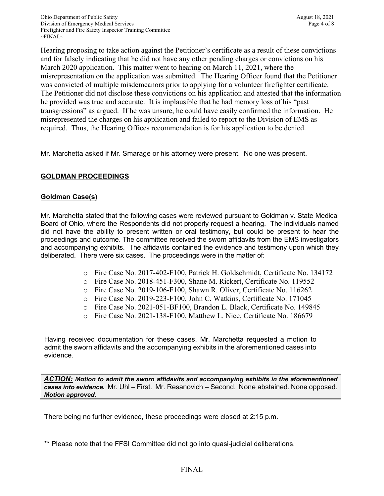Hearing proposing to take action against the Petitioner's certificate as a result of these convictions and for falsely indicating that he did not have any other pending charges or convictions on his March 2020 application. This matter went to hearing on March 11, 2021, where the misrepresentation on the application was submitted. The Hearing Officer found that the Petitioner was convicted of multiple misdemeanors prior to applying for a volunteer firefighter certificate. The Petitioner did not disclose these convictions on his application and attested that the information he provided was true and accurate. It is implausible that he had memory loss of his "past transgressions" as argued. If he was unsure, he could have easily confirmed the information. He misrepresented the charges on his application and failed to report to the Division of EMS as required. Thus, the Hearing Offices recommendation is for his application to be denied.

Mr. Marchetta asked if Mr. Smarage or his attorney were present. No one was present.

## **GOLDMAN PROCEEDINGS**

## **Goldman Case(s)**

Mr. Marchetta stated that the following cases were reviewed pursuant to Goldman v. State Medical Board of Ohio, where the Respondents did not properly request a hearing. The individuals named did not have the ability to present written or oral testimony, but could be present to hear the proceedings and outcome. The committee received the sworn affidavits from the EMS investigators and accompanying exhibits. The affidavits contained the evidence and testimony upon which they deliberated. There were six cases. The proceedings were in the matter of:

- o Fire Case No. 2017-402-F100, Patrick H. Goldschmidt, Certificate No. 134172
- o Fire Case No. 2018-451-F300, Shane M. Rickert, Certificate No. 119552
- o Fire Case No. 2019-106-F100, Shawn R. Oliver, Certificate No. 116262
- o Fire Case No. 2019-223-F100, John C. Watkins, Certificate No. 171045
- o Fire Case No. 2021-051-BF100, Brandon L. Black, Certificate No. 149845
- o Fire Case No. 2021-138-F100, Matthew L. Nice, Certificate No. 186679

Having received documentation for these cases, Mr. Marchetta requested a motion to admit the sworn affidavits and the accompanying exhibits in the aforementioned cases into evidence.

*ACTION: Motion to admit the sworn affidavits and accompanying exhibits in the aforementioned cases into evidence.* Mr. Uhl – First. Mr. Resanovich – Second. None abstained. None opposed. *Motion approved.* 

There being no further evidence, these proceedings were closed at 2:15 p.m.

\*\* Please note that the FFSI Committee did not go into quasi-judicial deliberations.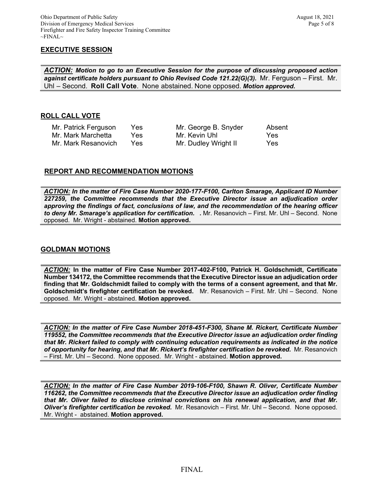## **EXECUTIVE SESSION**

*ACTION: Motion to go to an Executive Session for the purpose of discussing proposed action against certificate holders pursuant to Ohio Revised Code 121.22(G)(3).* Mr. Ferguson – First. Mr. Uhl – Second. **Roll Call Vote**. None abstained. None opposed. *Motion approved.*

## **ROLL CALL VOTE**

| Mr. Patrick Ferguson | Yes. | Mr. George B. Snyder | Absent |
|----------------------|------|----------------------|--------|
| Mr. Mark Marchetta   | Yes. | Mr. Kevin Uhl        | Yes    |
| Mr. Mark Resanovich  | Yes. | Mr. Dudley Wright II | Yes    |

#### **REPORT AND RECOMMENDATION MOTIONS**

*ACTION: In the matter of Fire Case Number 2020-177-F100, Carlton Smarage, Applicant ID Number 227259, the Committee recommends that the Executive Director issue an adjudication order approving the findings of fact, conclusions of law, and the recommendation of the hearing officer to deny Mr. Smarage's application for certification. .* Mr. Resanovich – First. Mr. Uhl – Second. None opposed. Mr. Wright - abstained. **Motion approved.** 

### **GOLDMAN MOTIONS**

*ACTION:* **In the matter of Fire Case Number 2017-402-F100, Patrick H. Goldschmidt, Certificate Number 134172, the Committee recommends that the Executive Director issue an adjudication order finding that Mr. Goldschmidt failed to comply with the terms of a consent agreement, and that Mr. Goldschmidt's firefighter certification be revoked.** Mr. Resanovich – First. Mr. Uhl – Second. None opposed. Mr. Wright - abstained. **Motion approved.** 

*ACTION: In the matter of Fire Case Number 2018-451-F300, Shane M. Rickert, Certificate Number 119552, the Committee recommends that the Executive Director issue an adjudication order finding that Mr. Rickert failed to comply with continuing education requirements as indicated in the notice of opportunity for hearing, and that Mr. Rickert's firefighter certification be revoked.* Mr. Resanovich – First. Mr. Uhl – Second. None opposed. Mr. Wright - abstained. **Motion approved.** 

*ACTION: In the matter of Fire Case Number 2019-106-F100, Shawn R. Oliver, Certificate Number 116262, the Committee recommends that the Executive Director issue an adjudication order finding that Mr. Oliver failed to disclose criminal convictions on his renewal application, and that Mr. Oliver's firefighter certification be revoked.* Mr. Resanovich – First. Mr. Uhl – Second. None opposed. Mr. Wright - abstained. **Motion approved.**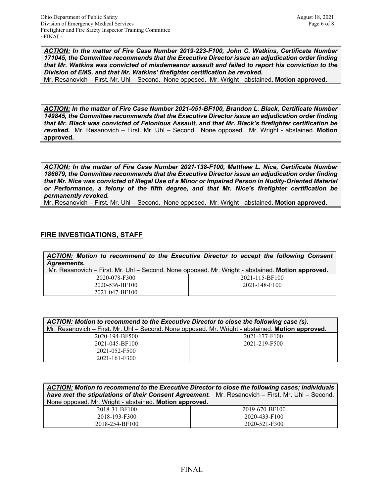*ACTION: In the matter of Fire Case Number 2019-223-F100, John C. Watkins, Certificate Number 171045, the Committee recommends that the Executive Director issue an adjudication order finding that Mr. Watkins was convicted of misdemeanor assault and failed to report his conviction to the Division of EMS, and that Mr. Watkins' firefighter certification be revoked.*

Mr. Resanovich – First. Mr. Uhl – Second. None opposed. Mr. Wright - abstained. **Motion approved.** 

*ACTION: In the matter of Fire Case Number 2021-051-BF100, Brandon L. Black, Certificate Number 149845, the Committee recommends that the Executive Director issue an adjudication order finding that Mr. Black was convicted of Felonious Assault, and that Mr. Black's firefighter certification be revoked.* Mr. Resanovich – First. Mr. Uhl – Second. None opposed. Mr. Wright - abstained. **Motion approved.** 

*ACTION: In the matter of Fire Case Number 2021-138-F100, Matthew L. Nice, Certificate Number 186679, the Committee recommends that the Executive Director issue an adjudication order finding that Mr. Nice was convicted of Illegal Use of a Minor or Impaired Person in Nudity-Oriented Material or Performance, a felony of the fifth degree, and that Mr. Nice's firefighter certification be permanently revoked.* 

Mr. Resanovich – First. Mr. Uhl – Second. None opposed. Mr. Wright - abstained. **Motion approved.** 

## **FIRE INVESTIGATIONS, STAFF**

| Agreements.                                                                                      | ACTION: Motion to recommend to the Executive Director to accept the following Consent |
|--------------------------------------------------------------------------------------------------|---------------------------------------------------------------------------------------|
| Mr. Resanovich – First. Mr. Uhl – Second. None opposed. Mr. Wright - abstained. Motion approved. |                                                                                       |
| 2020-078-F300                                                                                    | 2021-115-BF100                                                                        |
| 2020-536-BF100                                                                                   | 2021-148-F100                                                                         |
| 2021-047-BF100                                                                                   |                                                                                       |

| ACTION: Motion to recommend to the Executive Director to close the following case (s).           |               |  |
|--------------------------------------------------------------------------------------------------|---------------|--|
| Mr. Resanovich – First. Mr. Uhl – Second. None opposed. Mr. Wright - abstained. Motion approved. |               |  |
| 2020-194-BF500                                                                                   | 2021-177-F100 |  |
| 2021-045-BF100                                                                                   | 2021-219-F500 |  |
| 2021-052-F500                                                                                    |               |  |
| 2021-161-F300                                                                                    |               |  |

| ACTION: Motion to recommend to the Executive Director to close the following cases; individuals<br>have met the stipulations of their Consent Agreement. Mr. Resanovich - First. Mr. Uhl - Second.<br>None opposed. Mr. Wright - abstained. Motion approved. |                |
|--------------------------------------------------------------------------------------------------------------------------------------------------------------------------------------------------------------------------------------------------------------|----------------|
| 2018-31-BF100                                                                                                                                                                                                                                                | 2019-670-BF100 |
| 2018-193-F300                                                                                                                                                                                                                                                | 2020-433-F100  |
| 2018-254-BF100                                                                                                                                                                                                                                               | 2020-521-F300  |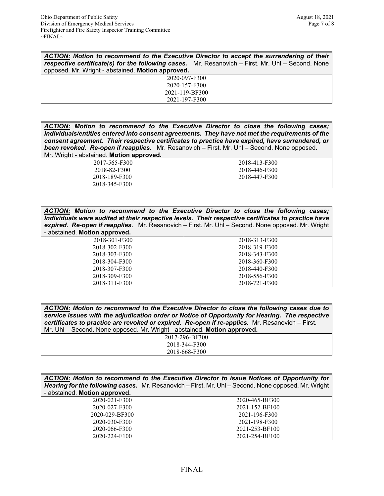| ACTION: Motion to recommend to the Executive Director to accept the surrendering of their                    |  |
|--------------------------------------------------------------------------------------------------------------|--|
| <b>respective certificate(s) for the following cases.</b> Mr. Resanovich $-$ First. Mr. Uhl $-$ Second. None |  |
| opposed. Mr. Wright - abstained. Motion approved.                                                            |  |
| 2020-097-F300                                                                                                |  |
| 2020-157-F300                                                                                                |  |
| 2021-119-BF300                                                                                               |  |
| 2021-197-F300                                                                                                |  |

*ACTION: Motion to recommend to the Executive Director to close the following cases; Individuals/entities entered into consent agreements. They have not met the requirements of the consent agreement. Their respective certificates to practice have expired, have surrendered, or been revoked. Re-open if reapplies.* Mr. Resanovich – First. Mr. Uhl – Second. None opposed. Mr. Wright - abstained. **Motion approved.**

> 2017-565-F300 2018-82-F300 2018-189-F300 2018-345-F300

2018-413-F300 2018-446-F300 2018-447-F300

| <b>ACTION:</b> Motion to recommend to the Executive Director to close the following cases;<br>Individuals were audited at their respective levels. Their respective certificates to practice have<br>expired. Re-open if reapplies. Mr. Resanovich - First. Mr. Uhl - Second. None opposed. Mr. Wright<br>- abstained. Motion approved. |               |
|-----------------------------------------------------------------------------------------------------------------------------------------------------------------------------------------------------------------------------------------------------------------------------------------------------------------------------------------|---------------|
| 2018-301-F300                                                                                                                                                                                                                                                                                                                           | 2018-313-F300 |
| 2018-302-F300                                                                                                                                                                                                                                                                                                                           | 2018-319-F300 |
| 2018-303-F300                                                                                                                                                                                                                                                                                                                           | 2018-343-F300 |
| 2018-304-F300                                                                                                                                                                                                                                                                                                                           | 2018-360-F300 |
| 2018-307-F300                                                                                                                                                                                                                                                                                                                           | 2018-440-F300 |
| 2018-309-F300                                                                                                                                                                                                                                                                                                                           | 2018-556-F300 |
| 2018-311-F300                                                                                                                                                                                                                                                                                                                           | 2018-721-F300 |

| ACTION: Motion to recommend to the Executive Director to close the following cases due to<br>service issues with the adjudication order or Notice of Opportunity for Hearing. The respective<br>certificates to practice are revoked or expired. Re-open if re-applies. Mr. Resanovich - First. |  |
|-------------------------------------------------------------------------------------------------------------------------------------------------------------------------------------------------------------------------------------------------------------------------------------------------|--|
| Mr. Uhl – Second. None opposed. Mr. Wright - abstained. Motion approved.                                                                                                                                                                                                                        |  |
| 2017-296-BF300                                                                                                                                                                                                                                                                                  |  |
| 2018-344-F300                                                                                                                                                                                                                                                                                   |  |
| 2018-668-F300                                                                                                                                                                                                                                                                                   |  |

| <b>ACTION:</b> Motion to recommend to the Executive Director to issue Notices of Opportunity for<br>Hearing for the following cases. Mr. Resanovich - First. Mr. Uhl - Second. None opposed. Mr. Wright<br>- abstained. Motion approved. |                |  |
|------------------------------------------------------------------------------------------------------------------------------------------------------------------------------------------------------------------------------------------|----------------|--|
| 2020-021-F300                                                                                                                                                                                                                            | 2020-465-BF300 |  |
| 2020-027-F300                                                                                                                                                                                                                            | 2021-152-BF100 |  |
| 2020-029-BF300                                                                                                                                                                                                                           | 2021-196-F300  |  |
| 2020-030-F300                                                                                                                                                                                                                            | 2021-198-F300  |  |
| 2020-066-F300                                                                                                                                                                                                                            | 2021-253-BF100 |  |
| 2020-224-F100                                                                                                                                                                                                                            | 2021-254-BF100 |  |